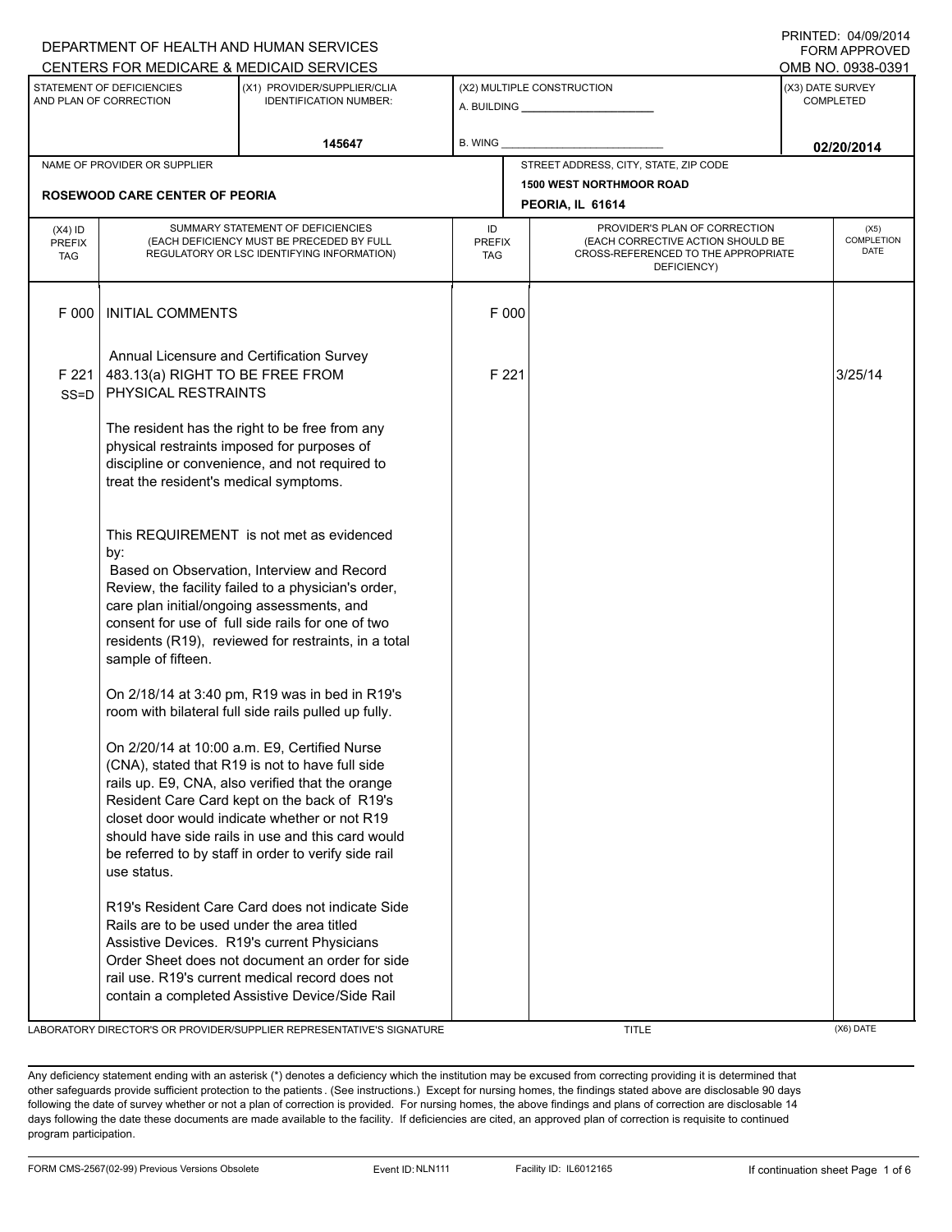|                                          |                                                                                                                                                                                                                                                                                                                                       | DEPARTMENT OF HEALTH AND HUMAN SERVICES                                                                                                                                                                                                                                                                                                                                                                                                                                     |                                   |                                                                                                                          | <b>FORM APPROVED</b>                 |  |
|------------------------------------------|---------------------------------------------------------------------------------------------------------------------------------------------------------------------------------------------------------------------------------------------------------------------------------------------------------------------------------------|-----------------------------------------------------------------------------------------------------------------------------------------------------------------------------------------------------------------------------------------------------------------------------------------------------------------------------------------------------------------------------------------------------------------------------------------------------------------------------|-----------------------------------|--------------------------------------------------------------------------------------------------------------------------|--------------------------------------|--|
|                                          |                                                                                                                                                                                                                                                                                                                                       | CENTERS FOR MEDICARE & MEDICAID SERVICES                                                                                                                                                                                                                                                                                                                                                                                                                                    |                                   |                                                                                                                          | OMB NO. 0938-0391                    |  |
|                                          | STATEMENT OF DEFICIENCIES<br>AND PLAN OF CORRECTION                                                                                                                                                                                                                                                                                   | (X1) PROVIDER/SUPPLIER/CLIA<br><b>IDENTIFICATION NUMBER:</b>                                                                                                                                                                                                                                                                                                                                                                                                                |                                   | (X2) MULTIPLE CONSTRUCTION                                                                                               | (X3) DATE SURVEY<br><b>COMPLETED</b> |  |
|                                          |                                                                                                                                                                                                                                                                                                                                       | 145647                                                                                                                                                                                                                                                                                                                                                                                                                                                                      | B. WING                           |                                                                                                                          | 02/20/2014                           |  |
| NAME OF PROVIDER OR SUPPLIER             |                                                                                                                                                                                                                                                                                                                                       |                                                                                                                                                                                                                                                                                                                                                                                                                                                                             |                                   | STREET ADDRESS, CITY, STATE, ZIP CODE                                                                                    |                                      |  |
| <b>ROSEWOOD CARE CENTER OF PEORIA</b>    |                                                                                                                                                                                                                                                                                                                                       |                                                                                                                                                                                                                                                                                                                                                                                                                                                                             |                                   | <b>1500 WEST NORTHMOOR ROAD</b><br>PEORIA, IL 61614                                                                      |                                      |  |
| $(X4)$ ID<br><b>PREFIX</b><br><b>TAG</b> | SUMMARY STATEMENT OF DEFICIENCIES<br>(EACH DEFICIENCY MUST BE PRECEDED BY FULL<br>REGULATORY OR LSC IDENTIFYING INFORMATION)                                                                                                                                                                                                          |                                                                                                                                                                                                                                                                                                                                                                                                                                                                             | ID<br><b>PREFIX</b><br><b>TAG</b> | PROVIDER'S PLAN OF CORRECTION<br>(EACH CORRECTIVE ACTION SHOULD BE<br>CROSS-REFERENCED TO THE APPROPRIATE<br>DEFICIENCY) | (X5)<br>COMPLETION<br>DATE           |  |
| F 000                                    | <b>INITIAL COMMENTS</b>                                                                                                                                                                                                                                                                                                               |                                                                                                                                                                                                                                                                                                                                                                                                                                                                             | F 000                             |                                                                                                                          |                                      |  |
| F 221<br>$SS = D$                        | 483.13(a) RIGHT TO BE FREE FROM<br>PHYSICAL RESTRAINTS                                                                                                                                                                                                                                                                                | Annual Licensure and Certification Survey                                                                                                                                                                                                                                                                                                                                                                                                                                   | F 221                             |                                                                                                                          | 3/25/14                              |  |
|                                          | treat the resident's medical symptoms.                                                                                                                                                                                                                                                                                                | The resident has the right to be free from any<br>physical restraints imposed for purposes of<br>discipline or convenience, and not required to                                                                                                                                                                                                                                                                                                                             |                                   |                                                                                                                          |                                      |  |
|                                          | This REQUIREMENT is not met as evidenced<br>by:<br>Based on Observation, Interview and Record<br>Review, the facility failed to a physician's order,<br>care plan initial/ongoing assessments, and<br>consent for use of full side rails for one of two<br>residents (R19), reviewed for restraints, in a total<br>sample of fifteen. |                                                                                                                                                                                                                                                                                                                                                                                                                                                                             |                                   |                                                                                                                          |                                      |  |
|                                          | use status.                                                                                                                                                                                                                                                                                                                           | On 2/18/14 at 3:40 pm, R19 was in bed in R19's<br>room with bilateral full side rails pulled up fully.<br>On 2/20/14 at 10:00 a.m. E9, Certified Nurse<br>(CNA), stated that R19 is not to have full side<br>rails up. E9, CNA, also verified that the orange<br>Resident Care Card kept on the back of R19's<br>closet door would indicate whether or not R19<br>should have side rails in use and this card would<br>be referred to by staff in order to verify side rail |                                   |                                                                                                                          |                                      |  |
|                                          | Rails are to be used under the area titled                                                                                                                                                                                                                                                                                            | R19's Resident Care Card does not indicate Side<br>Assistive Devices. R19's current Physicians<br>Order Sheet does not document an order for side<br>rail use. R19's current medical record does not<br>contain a completed Assistive Device/Side Rail                                                                                                                                                                                                                      |                                   |                                                                                                                          |                                      |  |

LABORATORY DIRECTOR'S OR PROVIDER/SUPPLIER REPRESENTATIVE'S SIGNATURE TITLE THE TITLE (X6) DATE

PRINTED: 04/09/2014

Any deficiency statement ending with an asterisk (\*) denotes a deficiency which the institution may be excused from correcting providing it is determined that other safeguards provide sufficient protection to the patients . (See instructions.) Except for nursing homes, the findings stated above are disclosable 90 days following the date of survey whether or not a plan of correction is provided. For nursing homes, the above findings and plans of correction are disclosable 14 days following the date these documents are made available to the facility. If deficiencies are cited, an approved plan of correction is requisite to continued program participation.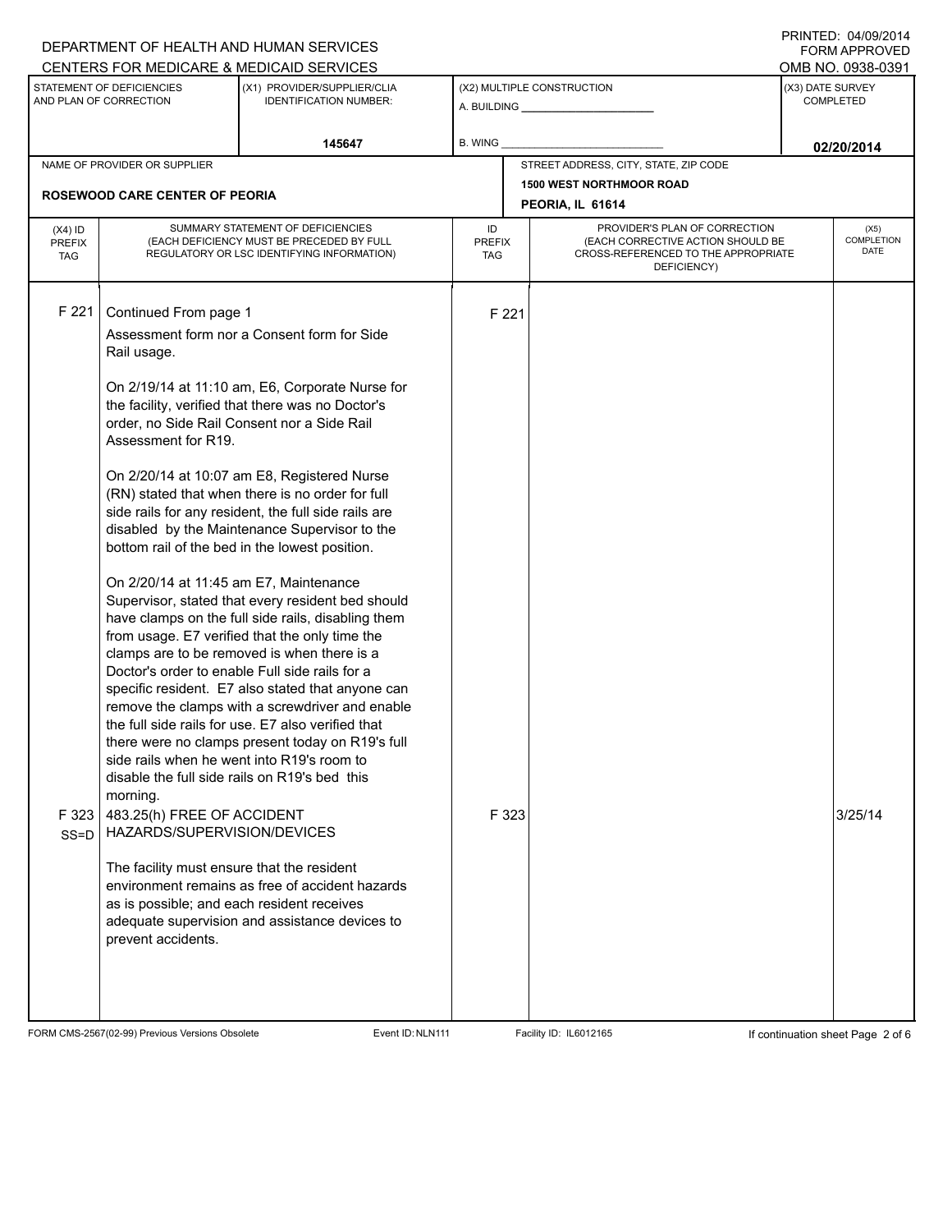| CENTERS FOR MEDICARE & MEDICAID SERVICES                                                                                                                                                                                                                                                                                                                                                                                                                                                                                                                                                                                                                                                                                                                                                                                                                                                                                                      |                                                                                                                                                                                                                                                                                                                                                                                                                                                                                                                                      |                |                                                                                                                                                               |            | <b>FORM APPROVED</b><br>OMB NO. 0938-0391 |                                          |
|-----------------------------------------------------------------------------------------------------------------------------------------------------------------------------------------------------------------------------------------------------------------------------------------------------------------------------------------------------------------------------------------------------------------------------------------------------------------------------------------------------------------------------------------------------------------------------------------------------------------------------------------------------------------------------------------------------------------------------------------------------------------------------------------------------------------------------------------------------------------------------------------------------------------------------------------------|--------------------------------------------------------------------------------------------------------------------------------------------------------------------------------------------------------------------------------------------------------------------------------------------------------------------------------------------------------------------------------------------------------------------------------------------------------------------------------------------------------------------------------------|----------------|---------------------------------------------------------------------------------------------------------------------------------------------------------------|------------|-------------------------------------------|------------------------------------------|
| STATEMENT OF DEFICIENCIES<br>(X1) PROVIDER/SUPPLIER/CLIA<br>AND PLAN OF CORRECTION<br><b>IDENTIFICATION NUMBER:</b>                                                                                                                                                                                                                                                                                                                                                                                                                                                                                                                                                                                                                                                                                                                                                                                                                           |                                                                                                                                                                                                                                                                                                                                                                                                                                                                                                                                      |                | (X2) MULTIPLE CONSTRUCTION                                                                                                                                    |            | (X3) DATE SURVEY<br><b>COMPLETED</b>      |                                          |
|                                                                                                                                                                                                                                                                                                                                                                                                                                                                                                                                                                                                                                                                                                                                                                                                                                                                                                                                               | 145647                                                                                                                                                                                                                                                                                                                                                                                                                                                                                                                               | <b>B. WING</b> |                                                                                                                                                               | 02/20/2014 |                                           |                                          |
| NAME OF PROVIDER OR SUPPLIER                                                                                                                                                                                                                                                                                                                                                                                                                                                                                                                                                                                                                                                                                                                                                                                                                                                                                                                  |                                                                                                                                                                                                                                                                                                                                                                                                                                                                                                                                      |                | STREET ADDRESS, CITY, STATE, ZIP CODE                                                                                                                         |            |                                           |                                          |
| <b>ROSEWOOD CARE CENTER OF PEORIA</b>                                                                                                                                                                                                                                                                                                                                                                                                                                                                                                                                                                                                                                                                                                                                                                                                                                                                                                         |                                                                                                                                                                                                                                                                                                                                                                                                                                                                                                                                      |                | <b>1500 WEST NORTHMOOR ROAD</b><br>PEORIA, IL 61614                                                                                                           |            |                                           |                                          |
| $(X4)$ ID<br><b>PREFIX</b><br><b>TAG</b>                                                                                                                                                                                                                                                                                                                                                                                                                                                                                                                                                                                                                                                                                                                                                                                                                                                                                                      | SUMMARY STATEMENT OF DEFICIENCIES<br>(EACH DEFICIENCY MUST BE PRECEDED BY FULL<br>REGULATORY OR LSC IDENTIFYING INFORMATION)                                                                                                                                                                                                                                                                                                                                                                                                         |                | PROVIDER'S PLAN OF CORRECTION<br>ID<br>(EACH CORRECTIVE ACTION SHOULD BE<br><b>PREFIX</b><br>CROSS-REFERENCED TO THE APPROPRIATE<br><b>TAG</b><br>DEFICIENCY) |            |                                           | (X5)<br><b>COMPLETION</b><br><b>DATE</b> |
| F 221<br>Continued From page 1<br>Assessment form nor a Consent form for Side<br>Rail usage.<br>the facility, verified that there was no Doctor's<br>order, no Side Rail Consent nor a Side Rail<br>Assessment for R19.<br>On 2/20/14 at 10:07 am E8, Registered Nurse<br>(RN) stated that when there is no order for full<br>bottom rail of the bed in the lowest position.<br>On 2/20/14 at 11:45 am E7, Maintenance<br>from usage. E7 verified that the only time the<br>clamps are to be removed is when there is a<br>Doctor's order to enable Full side rails for a<br>the full side rails for use. E7 also verified that<br>side rails when he went into R19's room to<br>disable the full side rails on R19's bed this<br>morning.<br>F323<br>483.25(h) FREE OF ACCIDENT<br>HAZARDS/SUPERVISION/DEVICES<br>$SS = D$<br>The facility must ensure that the resident<br>as is possible; and each resident receives<br>prevent accidents. | On 2/19/14 at 11:10 am, E6, Corporate Nurse for<br>side rails for any resident, the full side rails are<br>disabled by the Maintenance Supervisor to the<br>Supervisor, stated that every resident bed should<br>have clamps on the full side rails, disabling them<br>specific resident. E7 also stated that anyone can<br>remove the clamps with a screwdriver and enable<br>there were no clamps present today on R19's full<br>environment remains as free of accident hazards<br>adequate supervision and assistance devices to | F 221<br>F 323 |                                                                                                                                                               |            | 3/25/14                                   |                                          |

FORM CMS-2567(02-99) Previous Versions Obsolete Event ID:NLN111 Facility ID: IL6012165 If continuation sheet Page 2 of 6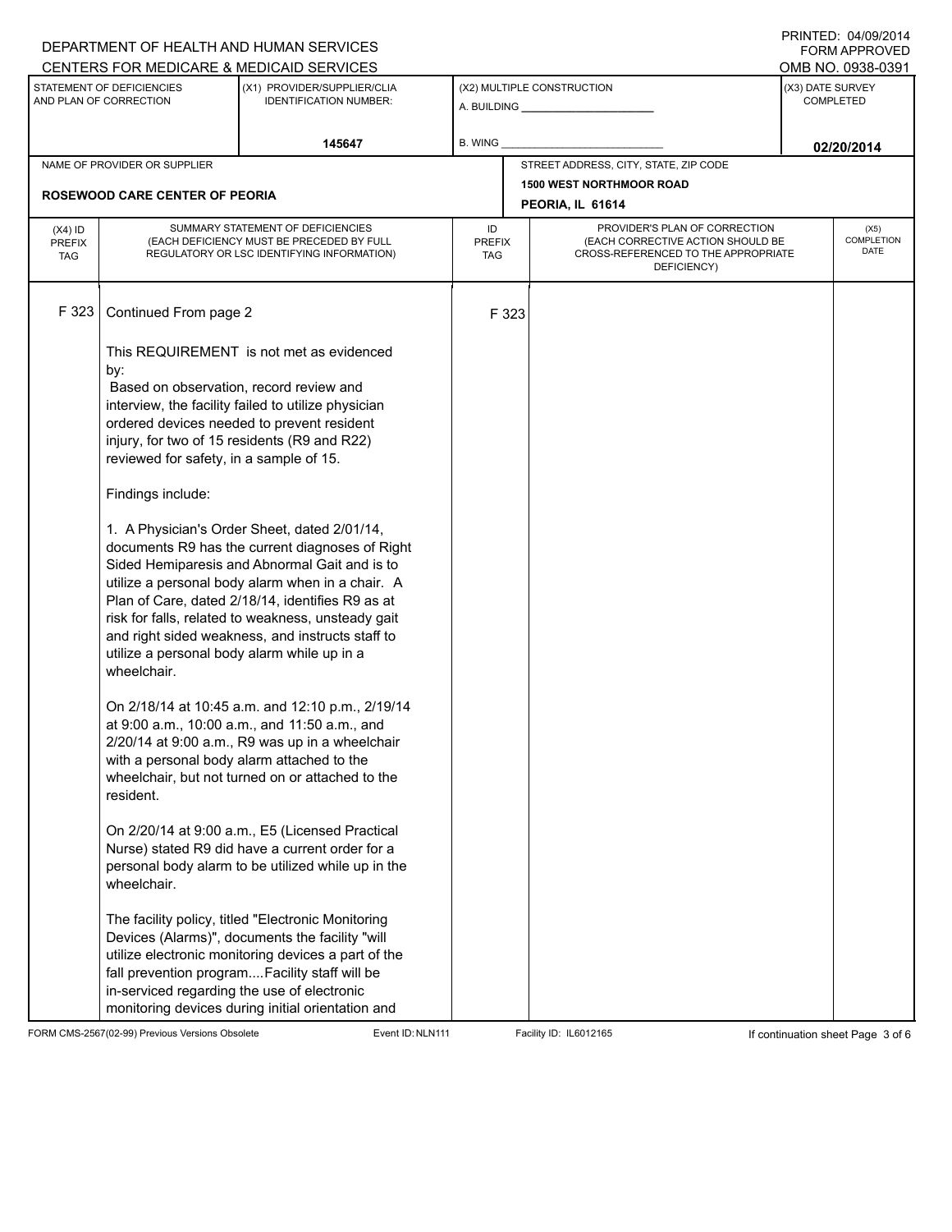|                                                                                                                     |                                                                                                                                                                                                                                                                                 | DEPARTMENT OF HEALTH AND HUMAN SERVICES<br>CENTERS FOR MEDICARE & MEDICAID SERVICES                                                                                                                                                                                                                                                                                                                                                                                                                                                                                                                                                                                                                                                                                                                                                                                                                                                                                                                                                                  |                                   |       |                                                                                                                          |  | FININILLU. UHUJIZU IH<br><b>FORM APPROVED</b><br>OMB NO. 0938-0391 |
|---------------------------------------------------------------------------------------------------------------------|---------------------------------------------------------------------------------------------------------------------------------------------------------------------------------------------------------------------------------------------------------------------------------|------------------------------------------------------------------------------------------------------------------------------------------------------------------------------------------------------------------------------------------------------------------------------------------------------------------------------------------------------------------------------------------------------------------------------------------------------------------------------------------------------------------------------------------------------------------------------------------------------------------------------------------------------------------------------------------------------------------------------------------------------------------------------------------------------------------------------------------------------------------------------------------------------------------------------------------------------------------------------------------------------------------------------------------------------|-----------------------------------|-------|--------------------------------------------------------------------------------------------------------------------------|--|--------------------------------------------------------------------|
| STATEMENT OF DEFICIENCIES<br>(X1) PROVIDER/SUPPLIER/CLIA<br>AND PLAN OF CORRECTION<br><b>IDENTIFICATION NUMBER:</b> |                                                                                                                                                                                                                                                                                 | (X2) MULTIPLE CONSTRUCTION                                                                                                                                                                                                                                                                                                                                                                                                                                                                                                                                                                                                                                                                                                                                                                                                                                                                                                                                                                                                                           |                                   |       | (X3) DATE SURVEY<br><b>COMPLETED</b>                                                                                     |  |                                                                    |
|                                                                                                                     |                                                                                                                                                                                                                                                                                 | 145647                                                                                                                                                                                                                                                                                                                                                                                                                                                                                                                                                                                                                                                                                                                                                                                                                                                                                                                                                                                                                                               | <b>B. WING</b>                    |       | 02/20/2014                                                                                                               |  |                                                                    |
|                                                                                                                     | NAME OF PROVIDER OR SUPPLIER                                                                                                                                                                                                                                                    |                                                                                                                                                                                                                                                                                                                                                                                                                                                                                                                                                                                                                                                                                                                                                                                                                                                                                                                                                                                                                                                      |                                   |       | STREET ADDRESS, CITY, STATE, ZIP CODE                                                                                    |  |                                                                    |
| <b>ROSEWOOD CARE CENTER OF PEORIA</b>                                                                               |                                                                                                                                                                                                                                                                                 |                                                                                                                                                                                                                                                                                                                                                                                                                                                                                                                                                                                                                                                                                                                                                                                                                                                                                                                                                                                                                                                      |                                   |       | <b>1500 WEST NORTHMOOR ROAD</b><br>PEORIA, IL 61614                                                                      |  |                                                                    |
| $(X4)$ ID<br><b>PREFIX</b><br><b>TAG</b>                                                                            |                                                                                                                                                                                                                                                                                 | SUMMARY STATEMENT OF DEFICIENCIES<br>(EACH DEFICIENCY MUST BE PRECEDED BY FULL<br>REGULATORY OR LSC IDENTIFYING INFORMATION)                                                                                                                                                                                                                                                                                                                                                                                                                                                                                                                                                                                                                                                                                                                                                                                                                                                                                                                         | ID<br><b>PREFIX</b><br><b>TAG</b> |       | PROVIDER'S PLAN OF CORRECTION<br>(EACH CORRECTIVE ACTION SHOULD BE<br>CROSS-REFERENCED TO THE APPROPRIATE<br>DEFICIENCY) |  | (X5)<br><b>COMPLETION</b><br><b>DATE</b>                           |
| F 323                                                                                                               | Continued From page 2<br>by:<br>Based on observation, record review and<br>reviewed for safety, in a sample of 15.<br>Findings include:<br>utilize a personal body alarm while up in a<br>wheelchair.<br>with a personal body alarm attached to the<br>resident.<br>wheelchair. | This REQUIREMENT is not met as evidenced<br>interview, the facility failed to utilize physician<br>ordered devices needed to prevent resident<br>injury, for two of 15 residents (R9 and R22)<br>1. A Physician's Order Sheet, dated 2/01/14,<br>documents R9 has the current diagnoses of Right<br>Sided Hemiparesis and Abnormal Gait and is to<br>utilize a personal body alarm when in a chair. A<br>Plan of Care, dated 2/18/14, identifies R9 as at<br>risk for falls, related to weakness, unsteady gait<br>and right sided weakness, and instructs staff to<br>On 2/18/14 at 10:45 a.m. and 12:10 p.m., 2/19/14<br>at 9:00 a.m., 10:00 a.m., and 11:50 a.m., and<br>2/20/14 at 9:00 a.m., R9 was up in a wheelchair<br>wheelchair, but not turned on or attached to the<br>On 2/20/14 at 9:00 a.m., E5 (Licensed Practical<br>Nurse) stated R9 did have a current order for a<br>personal body alarm to be utilized while up in the<br>The facility policy, titled "Electronic Monitoring<br>Devices (Alarms)", documents the facility "will |                                   | F 323 |                                                                                                                          |  |                                                                    |
|                                                                                                                     | in-serviced regarding the use of electronic                                                                                                                                                                                                                                     | utilize electronic monitoring devices a part of the<br>fall prevention programFacility staff will be<br>monitoring devices during initial orientation and                                                                                                                                                                                                                                                                                                                                                                                                                                                                                                                                                                                                                                                                                                                                                                                                                                                                                            |                                   |       |                                                                                                                          |  |                                                                    |

FORM CMS-2567(02-99) Previous Versions Obsolete Event ID:NLN111 Facility ID: IL6012165 If continuation sheet Page 3 of 6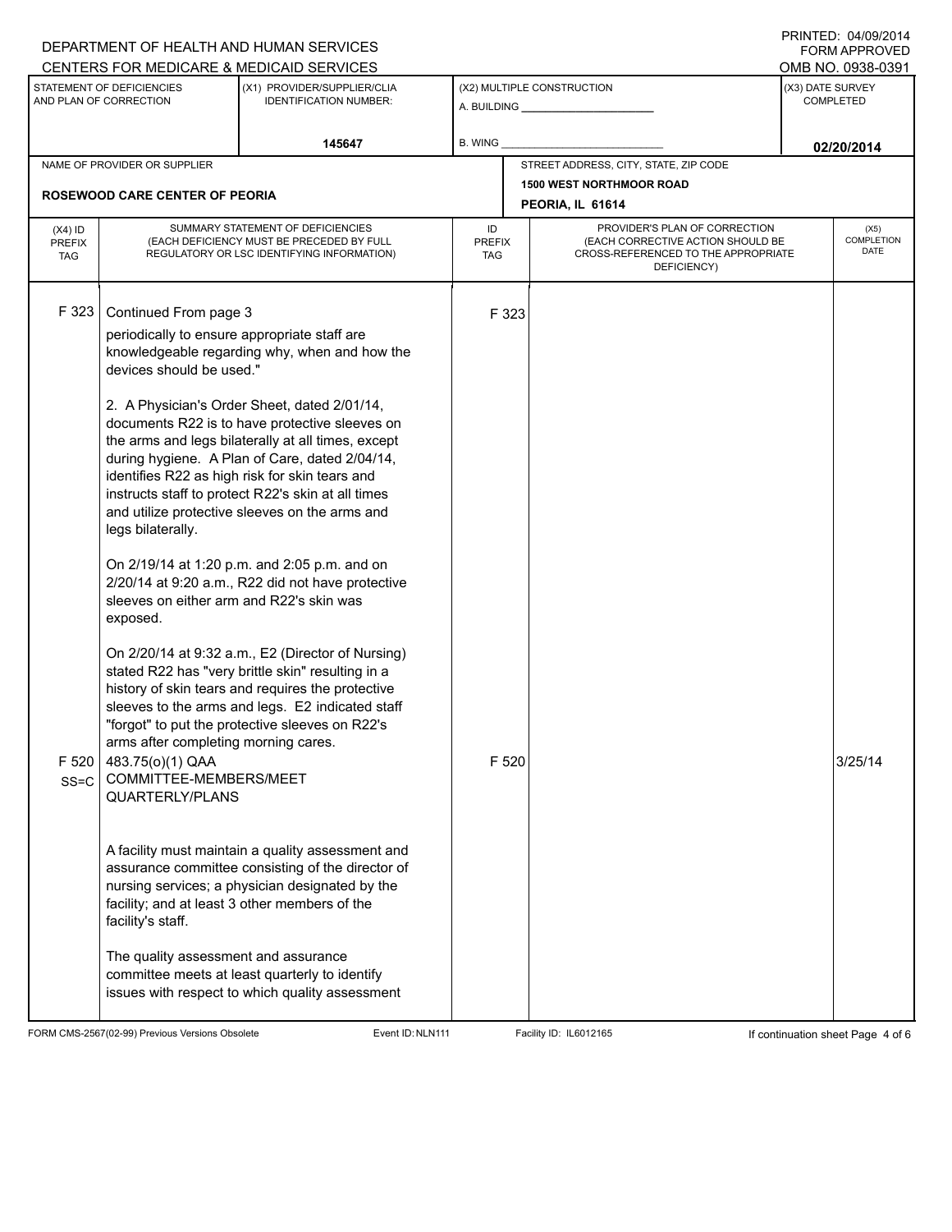|                                          |                                                                                                                                                                                | DEPARTMENT OF HEALTH AND HUMAN SERVICES                                                                                                                                                                                                                                                                                                                                                                                                                                                                                                                                               |                                   |                                                              |                                                                                                                          | <b>FORM APPROVED</b>                                      |  |
|------------------------------------------|--------------------------------------------------------------------------------------------------------------------------------------------------------------------------------|---------------------------------------------------------------------------------------------------------------------------------------------------------------------------------------------------------------------------------------------------------------------------------------------------------------------------------------------------------------------------------------------------------------------------------------------------------------------------------------------------------------------------------------------------------------------------------------|-----------------------------------|--------------------------------------------------------------|--------------------------------------------------------------------------------------------------------------------------|-----------------------------------------------------------|--|
|                                          | CENTERS FOR MEDICARE & MEDICAID SERVICES<br>STATEMENT OF DEFICIENCIES<br>(X1) PROVIDER/SUPPLIER/CLIA<br>AND PLAN OF CORRECTION<br><b>IDENTIFICATION NUMBER:</b>                |                                                                                                                                                                                                                                                                                                                                                                                                                                                                                                                                                                                       |                                   | (X2) MULTIPLE CONSTRUCTION<br>A. BUILDING <b>A.</b> BUILDING |                                                                                                                          | OMB NO. 0938-0391<br>(X3) DATE SURVEY<br><b>COMPLETED</b> |  |
|                                          |                                                                                                                                                                                | 145647                                                                                                                                                                                                                                                                                                                                                                                                                                                                                                                                                                                | B. WING                           |                                                              |                                                                                                                          | 02/20/2014                                                |  |
| NAME OF PROVIDER OR SUPPLIER             |                                                                                                                                                                                |                                                                                                                                                                                                                                                                                                                                                                                                                                                                                                                                                                                       |                                   | STREET ADDRESS, CITY, STATE, ZIP CODE                        |                                                                                                                          |                                                           |  |
|                                          | <b>ROSEWOOD CARE CENTER OF PEORIA</b>                                                                                                                                          |                                                                                                                                                                                                                                                                                                                                                                                                                                                                                                                                                                                       |                                   | <b>1500 WEST NORTHMOOR ROAD</b><br>PEORIA, IL 61614          |                                                                                                                          |                                                           |  |
| $(X4)$ ID<br><b>PREFIX</b><br><b>TAG</b> | SUMMARY STATEMENT OF DEFICIENCIES<br>(EACH DEFICIENCY MUST BE PRECEDED BY FULL<br>REGULATORY OR LSC IDENTIFYING INFORMATION)                                                   |                                                                                                                                                                                                                                                                                                                                                                                                                                                                                                                                                                                       | ID<br><b>PREFIX</b><br><b>TAG</b> |                                                              | PROVIDER'S PLAN OF CORRECTION<br>(EACH CORRECTIVE ACTION SHOULD BE<br>CROSS-REFERENCED TO THE APPROPRIATE<br>DEFICIENCY) | (X5)<br><b>COMPLETION</b><br><b>DATE</b>                  |  |
| F 323                                    | Continued From page 3<br>periodically to ensure appropriate staff are<br>devices should be used."<br>legs bilaterally.<br>sleeves on either arm and R22's skin was<br>exposed. | knowledgeable regarding why, when and how the<br>2. A Physician's Order Sheet, dated 2/01/14,<br>documents R22 is to have protective sleeves on<br>the arms and legs bilaterally at all times, except<br>during hygiene. A Plan of Care, dated 2/04/14,<br>identifies R22 as high risk for skin tears and<br>instructs staff to protect R22's skin at all times<br>and utilize protective sleeves on the arms and<br>On 2/19/14 at 1:20 p.m. and 2:05 p.m. and on<br>2/20/14 at 9:20 a.m., R22 did not have protective                                                                | F 323                             |                                                              |                                                                                                                          |                                                           |  |
| F 520<br>$SS = C$                        | arms after completing morning cares.<br>483.75(0)(1) QAA<br>COMMITTEE-MEMBERS/MEET<br>QUARTERLY/PLANS<br>facility's staff.<br>The quality assessment and assurance             | On 2/20/14 at 9:32 a.m., E2 (Director of Nursing)<br>stated R22 has "very brittle skin" resulting in a<br>history of skin tears and requires the protective<br>sleeves to the arms and legs. E2 indicated staff<br>"forgot" to put the protective sleeves on R22's<br>A facility must maintain a quality assessment and<br>assurance committee consisting of the director of<br>nursing services; a physician designated by the<br>facility; and at least 3 other members of the<br>committee meets at least quarterly to identify<br>issues with respect to which quality assessment | F 520                             |                                                              |                                                                                                                          | 3/25/14                                                   |  |

FORM CMS-2567(02-99) Previous Versions Obsolete Event ID:NLN111 Facility ID: IL6012165 If continuation sheet Page 4 of 6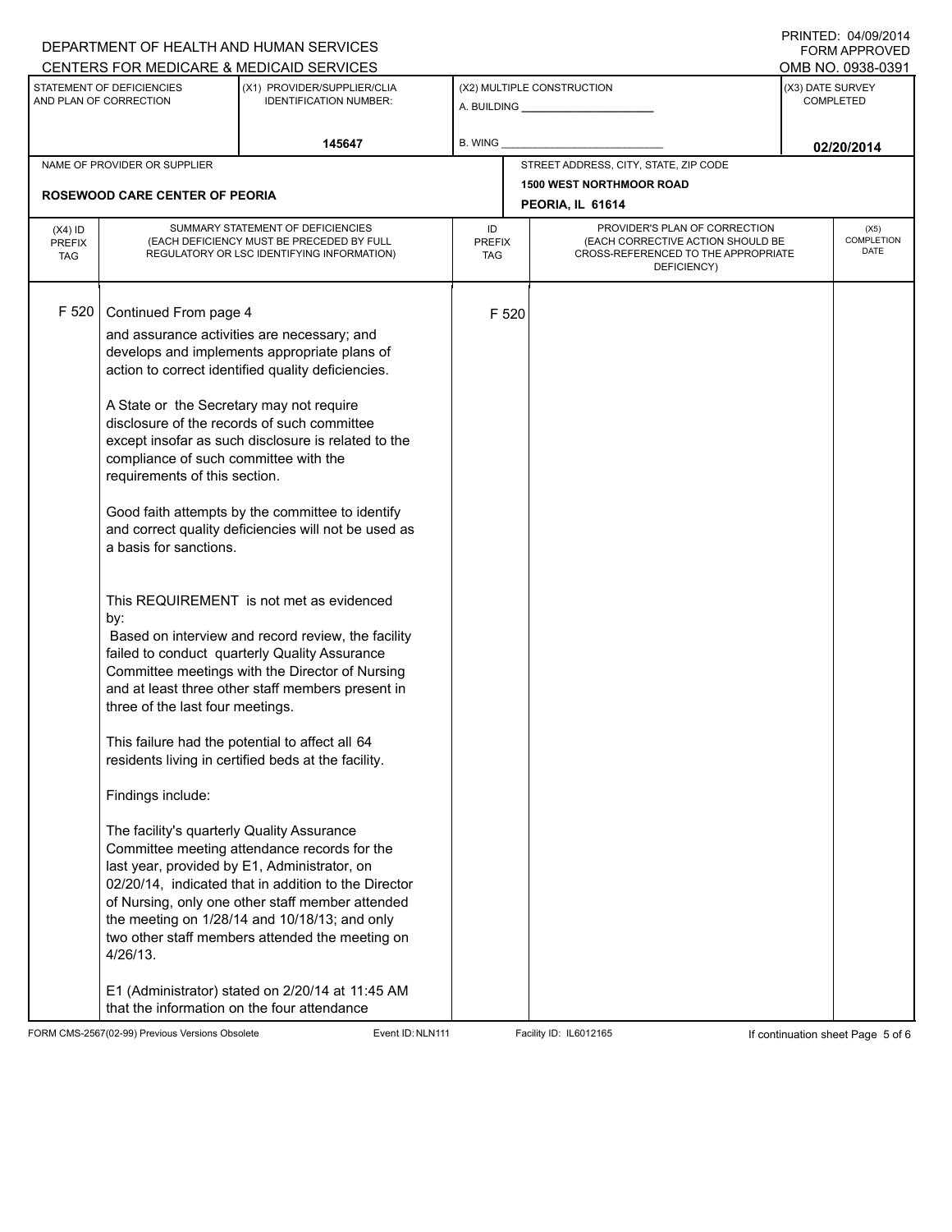|                                          |                                                                                                                                                                                                                                                                                                 | DEPARTMENT OF HEALTH AND HUMAN SERVICES<br>CENTERS FOR MEDICARE & MEDICAID SERVICES                                                                                                                                                                                                                                                                                                                                                                                                                                                                                                                                                                                                                                                                                                                                                                                                                                                                                                                                                                                                                          |                                   |                  |                                                                                                                          |            | FININILU. UHUJIZU I H<br><b>FORM APPROVED</b><br>OMB NO. 0938-0391 |
|------------------------------------------|-------------------------------------------------------------------------------------------------------------------------------------------------------------------------------------------------------------------------------------------------------------------------------------------------|--------------------------------------------------------------------------------------------------------------------------------------------------------------------------------------------------------------------------------------------------------------------------------------------------------------------------------------------------------------------------------------------------------------------------------------------------------------------------------------------------------------------------------------------------------------------------------------------------------------------------------------------------------------------------------------------------------------------------------------------------------------------------------------------------------------------------------------------------------------------------------------------------------------------------------------------------------------------------------------------------------------------------------------------------------------------------------------------------------------|-----------------------------------|------------------|--------------------------------------------------------------------------------------------------------------------------|------------|--------------------------------------------------------------------|
|                                          | STATEMENT OF DEFICIENCIES<br>(X1) PROVIDER/SUPPLIER/CLIA<br>(X2) MULTIPLE CONSTRUCTION<br>AND PLAN OF CORRECTION<br><b>IDENTIFICATION NUMBER:</b>                                                                                                                                               |                                                                                                                                                                                                                                                                                                                                                                                                                                                                                                                                                                                                                                                                                                                                                                                                                                                                                                                                                                                                                                                                                                              |                                   | (X3) DATE SURVEY | <b>COMPLETED</b>                                                                                                         |            |                                                                    |
|                                          |                                                                                                                                                                                                                                                                                                 | 145647                                                                                                                                                                                                                                                                                                                                                                                                                                                                                                                                                                                                                                                                                                                                                                                                                                                                                                                                                                                                                                                                                                       | <b>B. WING</b>                    |                  |                                                                                                                          | 02/20/2014 |                                                                    |
|                                          | NAME OF PROVIDER OR SUPPLIER                                                                                                                                                                                                                                                                    |                                                                                                                                                                                                                                                                                                                                                                                                                                                                                                                                                                                                                                                                                                                                                                                                                                                                                                                                                                                                                                                                                                              |                                   |                  | STREET ADDRESS, CITY, STATE, ZIP CODE                                                                                    |            |                                                                    |
|                                          | <b>ROSEWOOD CARE CENTER OF PEORIA</b>                                                                                                                                                                                                                                                           |                                                                                                                                                                                                                                                                                                                                                                                                                                                                                                                                                                                                                                                                                                                                                                                                                                                                                                                                                                                                                                                                                                              |                                   |                  | <b>1500 WEST NORTHMOOR ROAD</b><br>PEORIA, IL 61614                                                                      |            |                                                                    |
| $(X4)$ ID<br><b>PREFIX</b><br><b>TAG</b> | SUMMARY STATEMENT OF DEFICIENCIES<br>(EACH DEFICIENCY MUST BE PRECEDED BY FULL<br>REGULATORY OR LSC IDENTIFYING INFORMATION)                                                                                                                                                                    |                                                                                                                                                                                                                                                                                                                                                                                                                                                                                                                                                                                                                                                                                                                                                                                                                                                                                                                                                                                                                                                                                                              | ID<br><b>PREFIX</b><br><b>TAG</b> |                  | PROVIDER'S PLAN OF CORRECTION<br>(EACH CORRECTIVE ACTION SHOULD BE<br>CROSS-REFERENCED TO THE APPROPRIATE<br>DEFICIENCY) |            | (X5)<br>COMPLETION<br><b>DATE</b>                                  |
| F 520                                    | Continued From page 4<br>A State or the Secretary may not require<br>compliance of such committee with the<br>requirements of this section.<br>a basis for sanctions.<br>by:<br>three of the last four meetings.<br>Findings include:<br>The facility's quarterly Quality Assurance<br>4/26/13. | and assurance activities are necessary; and<br>develops and implements appropriate plans of<br>action to correct identified quality deficiencies.<br>disclosure of the records of such committee<br>except insofar as such disclosure is related to the<br>Good faith attempts by the committee to identify<br>and correct quality deficiencies will not be used as<br>This REQUIREMENT is not met as evidenced<br>Based on interview and record review, the facility<br>failed to conduct quarterly Quality Assurance<br>Committee meetings with the Director of Nursing<br>and at least three other staff members present in<br>This failure had the potential to affect all 64<br>residents living in certified beds at the facility.<br>Committee meeting attendance records for the<br>last year, provided by E1, Administrator, on<br>02/20/14, indicated that in addition to the Director<br>of Nursing, only one other staff member attended<br>the meeting on 1/28/14 and 10/18/13; and only<br>two other staff members attended the meeting on<br>E1 (Administrator) stated on 2/20/14 at 11:45 AM |                                   | F 520            |                                                                                                                          |            |                                                                    |
|                                          | that the information on the four attendance                                                                                                                                                                                                                                                     |                                                                                                                                                                                                                                                                                                                                                                                                                                                                                                                                                                                                                                                                                                                                                                                                                                                                                                                                                                                                                                                                                                              |                                   |                  |                                                                                                                          |            |                                                                    |

FORM CMS-2567(02-99) Previous Versions Obsolete Event ID:NLN111 Facility ID: IL6012165 If continuation sheet Page 5 of 6